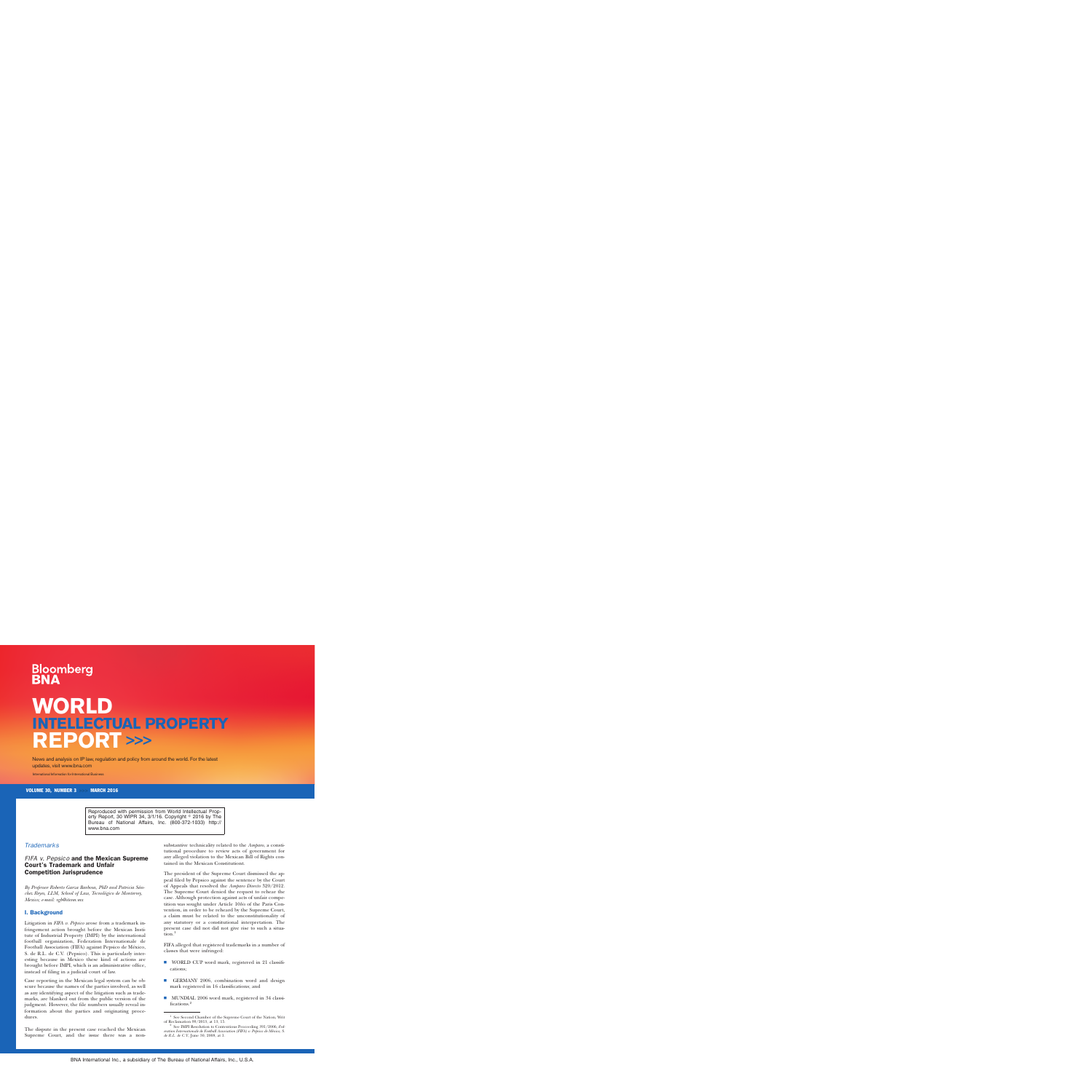# **Bloomberg**

# **WORLD INTELLECTUAL PROPERTY REPORT >>>**

News and analysis on IP law, regulation and policy from around the world. For the latest updates, visit www.bna.com

International Information for International Business

VOLUME 30, NUMBER 3 >>> MARCH 2016

Reproduced with permission from World Intellectual Property Report, 30 WIPR 34, 3/1/16. Copyright  $\textdegree$  2016 by The Bureau of National Affairs, Inc. (800-372-1033) http:// www.bna.com

## *Trademarks*

# *FIFA v. Pepsico* and the Mexican Supreme Court's Trademark and Unfair Competition Jurisprudence

*By Professor Roberto Garza Barbosa, PhD and Patricia Sa´nchez Reyes, LLM, School of Law, Tecnolo´gico de Monterrey, Mexico; e-mail: [rgb@itesm.mx](mailto:rgb@itesm.mx)*

### I. Background

Litigation in *FIFA v. Pepsico* arose from a trademark infringement action brought before the Mexican Institute of Industrial Property (IMPI) by the international football organization, Federation Internationale de Football Association (FIFA) against Pepsico de México, S. de R.L. de C.V. (Pepsico). This is particularly interesting because in Mexico these kind of actions are brought before IMPI, which is an administrative office, instead of filing in a judicial court of law.

Case reporting in the Mexican legal system can be obscure because the names of the parties involved, as well as any identifying aspect of the litigation such as trademarks, are blanked out from the public version of the judgment. However, the file numbers usually reveal information about the parties and originating procedures.

The dispute in the present case reached the Mexican Supreme Court, and the issue there was a nonsubstantive technicality related to the *Amparo*, a constitutional procedure to review acts of government for any alleged violation to the Mexican Bill of Rights contained in the Mexican Constitutiont.

The president of the Supreme Court dismissed the appeal filed by Pepsico against the sentence by the Court of Appeals that resolved the *Amparo Directo* 320/2012. The Supreme Court denied the request to rehear the case. Although protection against acts of unfair competition was sought under Article 10*bis* of the Paris Convention, in order to be reheard by the Supreme Court, a claim must be related to the unconstitutionality of any statutory or a constitutional interpretation. The present case did not did not give rise to such a situation.1

FIFA alleged that registered trademarks in a number of classes that were infringed:

- WORLD CUP word mark, registered in 21 classifications;
- GERMANY 2006, combination word and design mark registered in 16 classifications; and
- MUNDIAL 2006 word mark, registered in 34 classifications.<sup>2</sup>

 $^{\rm 1}$  See Second Chamber of the Supreme Court of the Nation, Writ of Reclamation 99/2013, at 13, 15.

See IMPI Resolution to Contentious Proceeding 391/2006, *Federation Internationale de Football Association (FIFA) v. Pepsico de México, S. de R.L. de C.V.*, June 30, 2008, at 1.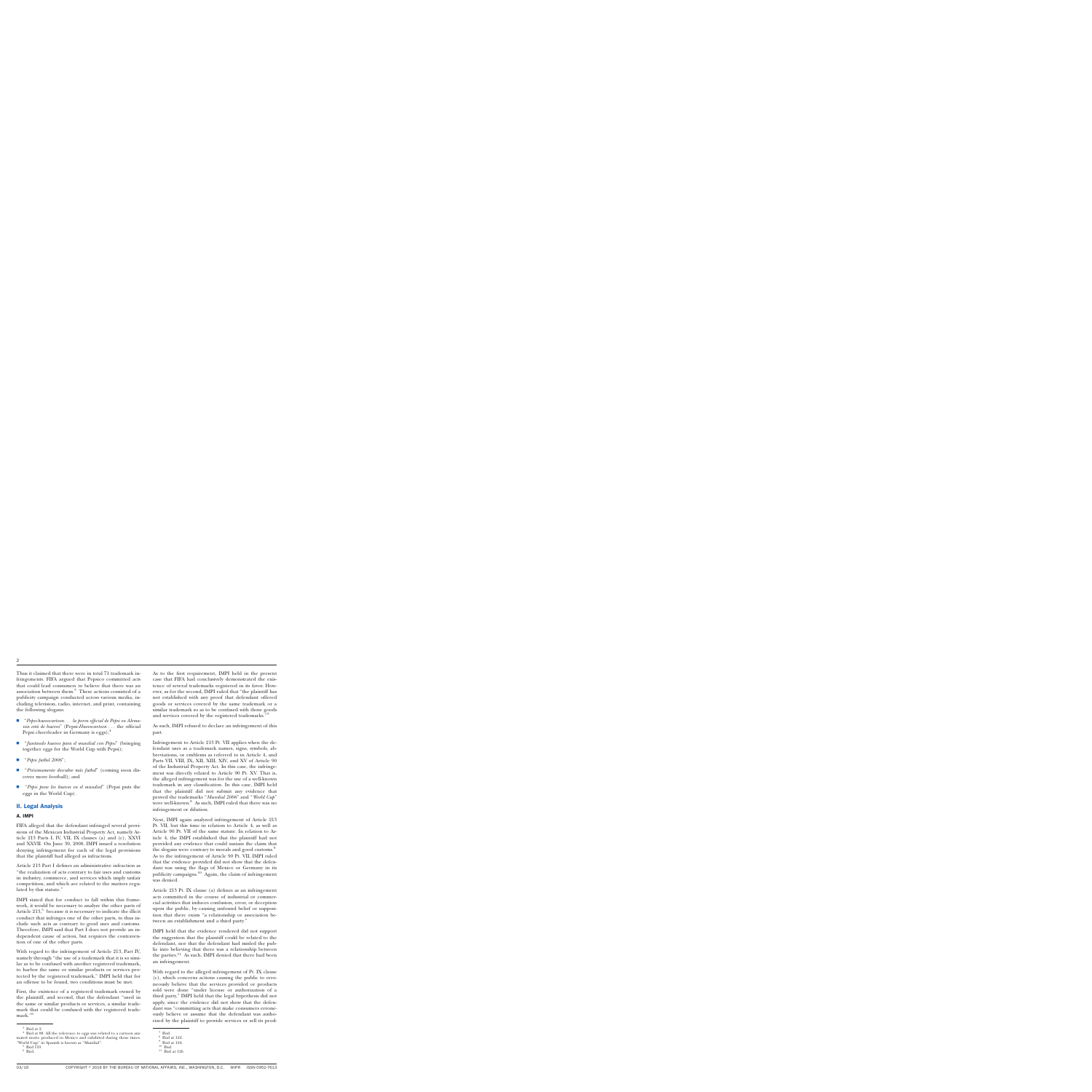Thus it claimed that there were in total 71 trademark infringements. FIFA argued that Pepsico committed acts that could lead consumers to believe that there was an association between them.3 These actions consisted of a publicity campaign conducted across various media, including television, radio, internet, and print, containing the following slogans:

- "Pepsi-huevocartoon...la porra official de Pepsi en Alema*nia esta´ de huevos*'' (Pepsi-*Huevocartoon* . . . the official Pepsi cheerleader in Germany is eggs); $<sup>4</sup>$ </sup>
- s ''*Juntando huevos para el mundial con Pepsi*'' (bringing together eggs for the World Cup with Pepsi);
- s ''*Pepsi futbol 2006*'';
- s ''*Pro´ximamente descubre ma´s futbol*'' (coming soon discover more football); and
- s ''*Pepsi pone los huevos en el mundial*'' (Pepsi puts the eggs in the World Cup)*.*

#### II. Legal Analysis

#### A. IMPI

FIFA alleged that the defendant infringed several provisions of the Mexican Industrial Property Act, namely Article 213 Parts I, IV, VII, IX clauses (a) and (c), XXVI and XXVII. On June 30, 2008, IMPI issued a resolution denying infringement for each of the legal provisions that the plaintiff had alleged as infractions.

Article 213 Part I defines an administrative infraction as ''the realization of acts contrary to fair uses and customs in industry, commerce, and services which imply unfair competition, and which are related to the matters regulated by this statute.''

IMPI stated that for conduct to fall within this framework, it would be necessary to analyze the other parts of Article  $213$ , because it is necessary to indicate the illicit conduct that infringes one of the other parts, to thus include such acts as contrary to good uses and customs. Therefore, IMPI said that Part I does not provide an independent cause of action, but requires the contravention of one of the other parts.

With regard to the infringement of Article 213, Part IV, namely through "the use of a trademark that it is so similar as to be confused with another registered trademark, to harbor the same or similar products or services protected by the registered trademark,'' IMPI held that for an offense to be found, two conditions must be met.

First, the existence of a registered trademark owned by the plaintiff, and second, that the defendant ''used in the same or similar products or services, a similar trademark that could be confused with the registered trademark."<sup>6</sup>

As to the first requirement, IMPI held in the present case that FIFA had conclusively demonstrated the existence of several trademarks registered in its favor. However, as for the second, IMPI ruled that ''the plaintiff has not established with any proof that defendant offered goods or services covered by the same trademark or a similar trademark so as to be confused with those goods and services covered by the registered trademarks."

As such, IMPI refused to declare an infringement of this part.

Infringement to Article 213 Pt. VII applies when the defendant uses as a trademark names, signs, symbols, abbreviations, or emblems as referred to in Article 4, and Parts VII, VIII, IX, XII, XIII, XIV, and XV of Article 90 of the Industrial Property Act. In this case, the infringement was directly related to Article 90 Pt. XV. That is, the alleged infringement was for the use of a well-known trademark in any classification. In this case, IMPI held that the plaintiff did not submit any evidence that proved the trademarks ''*Mundial 2006*'' and ''*World Cup*'' were well-known.<sup>8</sup> As such, IMPI ruled that there was no infringement or dilution.

Next, IMPI again analyzed infringement of Article 213 Pt. VII, but this time in relation to Article 4, as well as Article 90 Pt. VII of the same statute. In relation to Article 4, the IMPI established that the plaintiff had not provided any evidence that could sustain the claim that the slogans were contrary to morals and good customs.<sup>9</sup> As to the infringement of Article 90 Pt. VII, IMPI ruled that the evidence provided did not show that the defendant was using the flags of Mexico or Germany in its publicity campaigns.10 Again, the claim of infringement was denied.

Article 213 Pt. IX clause (a) defines as an infringement acts committed in the course of industrial or commercial activities that induces confusion, error, or deception upon the public, by causing unfound belief or supposition that there exists ''a relationship or association between an establishment and a third party.''

IMPI held that the evidence rendered did not support the suggestion that the plaintiff could be related to the defendant, nor that the defendant had misled the public into believing that there was a relationship between the parties.<sup>11</sup> As such, IMPI denied that there had been an infringement.

With regard to the alleged infringement of Pt. IX clause (c), which concerns actions causing the public to erroneously believe that the services provided or products sold were done ''under license or authorization of a third party,'' IMPI held that the legal hypothesis did not apply, since the evidence did not show that the defendant was ''committing acts that make consumers erroneously believe or assume that the defendant was authorized by the plaintiff to provide services or sell its prod-

 $^3\,$  Ibid at 2.  $^{4} \,$  Ibid at 88. All the reference to eggs was related to a cartoon animated movie produced in Mexico and exhibited during those times.

 $\,$  "World Cup" in Spanish is known as "Mundial".  $^{\,5}$  Ibid.  $^{\,6}$  Ibid.

<sup>&</sup>lt;sup>7</sup> Ibid.<br><sup>8</sup> Ibid at 122.<br><sup>9</sup> Ibid at 124.<br><sup>10</sup> Ibid at 126.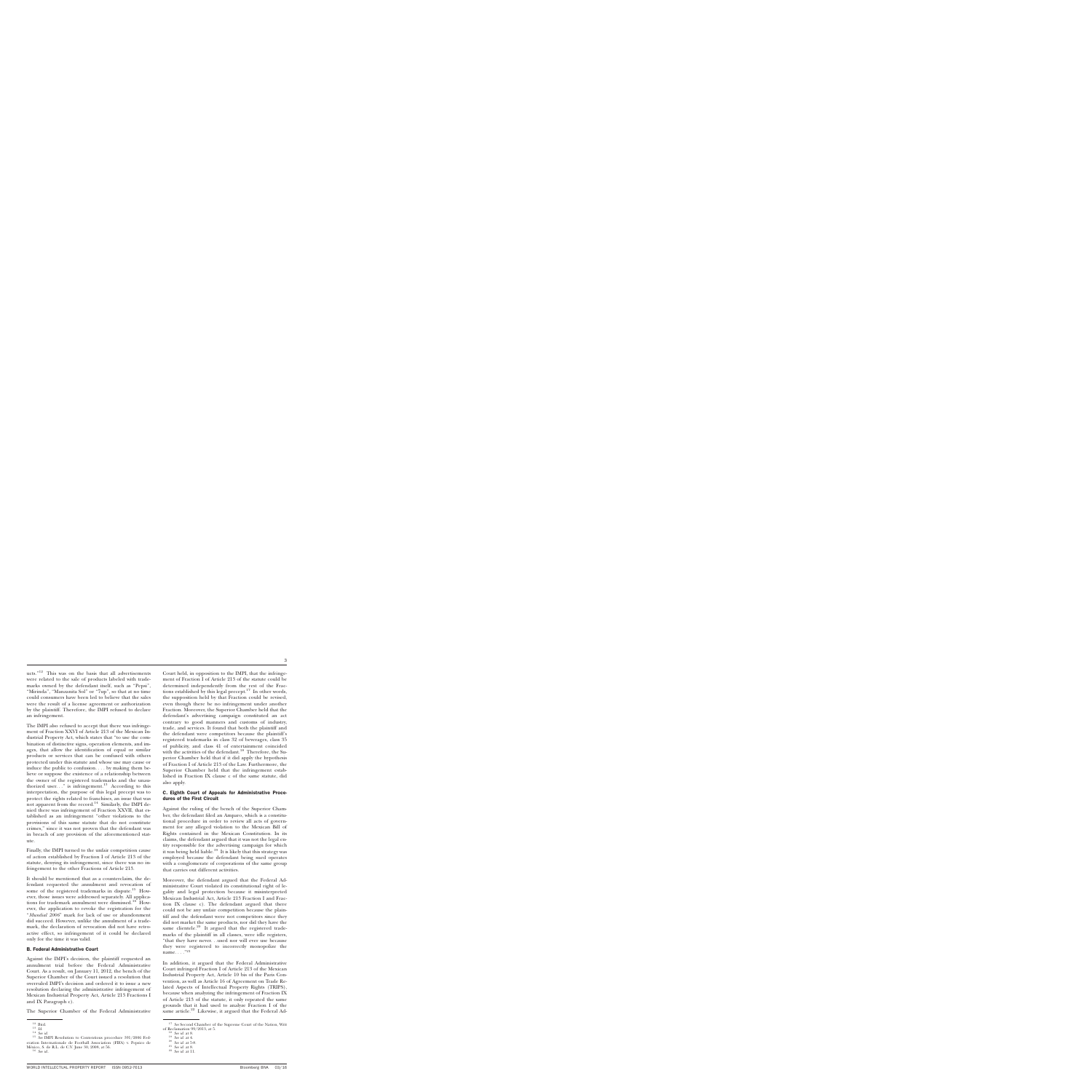ucts." $12$  This was on the basis that all advertisements were related to the sale of products labeled with trademarks owned by the defendant itself, such as ''Pepsi'', "Mirinda", "Manzanita Sol" or "7up", so that at no time could consumers have been led to believe that the sales were the result of a license agreement or authorization by the plaintiff. Therefore, the IMPI refused to declare an infringement.

The IMPI also refused to accept that there was infringement of Fraction XXVI of Article 213 of the Mexican Industrial Property Act, which states that ''to use the combination of distinctive signs, operation elements, and images, that allow the identification of equal or similar products or services that can be confused with others protected under this statute and whose use may cause or induce the public to confusion. . . . by making them believe or suppose the existence of a relationship between the owner of the registered trademarks and the unauthorized user..." is infringement.<sup>13</sup> According to this interpretation, the purpose of this legal precept was to protect the rights related to franchises, an issue that was not apparent from the record.<sup>14</sup> Similarly, the IMPI denied there was infringement of Fraction XXVII, that established as an infringement ''other violations to the provisions of this same statute that do not constitute crimes,'' since it was not proven that the defendant was in breach of any provision of the aforementioned statute.

Finally, the IMPI turned to the unfair competition cause of action established by Fraction I of Article 213 of the statute, denying its infringement, since there was no infringement to the other Fractions of Article 213.

It should be mentioned that as a counterclaim, the defendant requested the annulment and revocation of some of the registered trademarks in dispute.<sup>15</sup> However, those issues were addressed separately. All applications for trademark annulment were dismissed.<sup>16</sup> However, the application to revoke the registration for the ''*Mundial 2006*'' mark for lack of use or abandonment did succeed. However, unlike the annulment of a trademark, the declaration of revocation did not have retroactive effect, so infringement of it could be declared only for the time it was valid.

#### B. Federal Administrative Court

Against the IMPI's decision, the plaintiff requested an annulment trial before the Federal Administrative Court. As a result, on January 11, 2012, the bench of the Superior Chamber of the Court issued a resolution that overruled IMPI's decision and ordered it to issue a new resolution declaring the administrative infringement of Mexican Industrial Property Act, Article 213 Fractions I and IX Paragraph c).

The Superior Chamber of the Federal Administrative

Court held, in opposition to the IMPI, that the infringement of Fraction I of Article 213 of the statute could be determined independently from the rest of the Fractions established by this legal precept.<sup>17</sup> In other words, the supposition held by that Fraction could be revised, even though there be no infringement under another Fraction. Moreover, the Superior Chamber held that the defendant's advertising campaign constituted an act contrary to good manners and customs of industry, trade, and services. It found that both the plaintiff and the defendant were competitors because the plaintiff's registered trademarks in class 32 of beverages, class 35 of publicity, and class 41 of entertainment coincided with the activities of the defendant.<sup>18</sup> Therefore, the Superior Chamber held that if it did apply the hypothesis of Fraction I of Article 213 of the Law. Furthermore, the Superior Chamber held that the infringement established in Fraction IX clause c of the same statute, did also apply.

#### C. Eighth Court of Appeals for Administrative Procedures of the First Circuit

Against the ruling of the bench of the Superior Chamber, the defendant filed an Amparo, which is a constitutional procedure in order to review all acts of government for any alleged violation to the Mexican Bill of Rights contained in the Mexican Constitution. In its claims, the defendant argued that it was not the legal entity responsible for the advertising campaign for which it was being held liable.<sup>19</sup> It is likely that this strategy was employed because the defendant being sued operates with a conglomerate of corporations of the same group that carries out different activities.

Moreover, the defendant argued that the Federal Administrative Court violated its constitutional right of legality and legal protection because it misinterpreted Mexican Industrial Act, Article 213 Fraction I and Fraction IX clause c). The defendant argued that there could not be any unfair competition because the plaintiff and the defendant were not competitors since they did not market the same products, nor did they have the same clientele. $20$  It argued that the registered trademarks of the plaintiff in all classes, were idle registers, ''that they have never. . .used nor will ever use because they were registered to incorrectly monopolize the name... $\cdot$ <sup> $\cdot$ 21</sup>

In addition, it argued that the Federal Administrative Court infringed Fraction I of Article 213 of the Mexican Industrial Property Act, Article 10 bis of the Paris Convention, as well as Article 16 of Agreement on Trade Related Aspects of Intellectual Property Rights (TRIPS), because when analyzing the infringement of Fraction IX of Article 213 of the statute, it only repeated the same grounds that it had used to analyze Fraction I of the same article. $22$  Likewise, it argued that the Federal Ad-

<sup>&</sup>lt;sup>12</sup> Ibid. <sup>13</sup> *Id.* <sup>14</sup> *See id.* 14 *See id.* 15 *See IMPI* Resolution to Contentious procedure 391/2006 Federation Internationale de Football Association (FIFA) v. Pepsico de México, S. de R.L. de C.V. June 30, 2008, at 56.

<sup>16</sup> *See id..*

 $^{17}$   $\it See$  Second Chamber of the Supreme Court of the Nation, Writ of Reclamation 99/2013, at 5.

<sup>&</sup>lt;sup>18</sup> *See id.* at 8.<br><sup>19</sup> *See id.* at 4.<br><sup>20</sup> *See id.* at 8.<br><sup>22</sup> *See id.* at 11.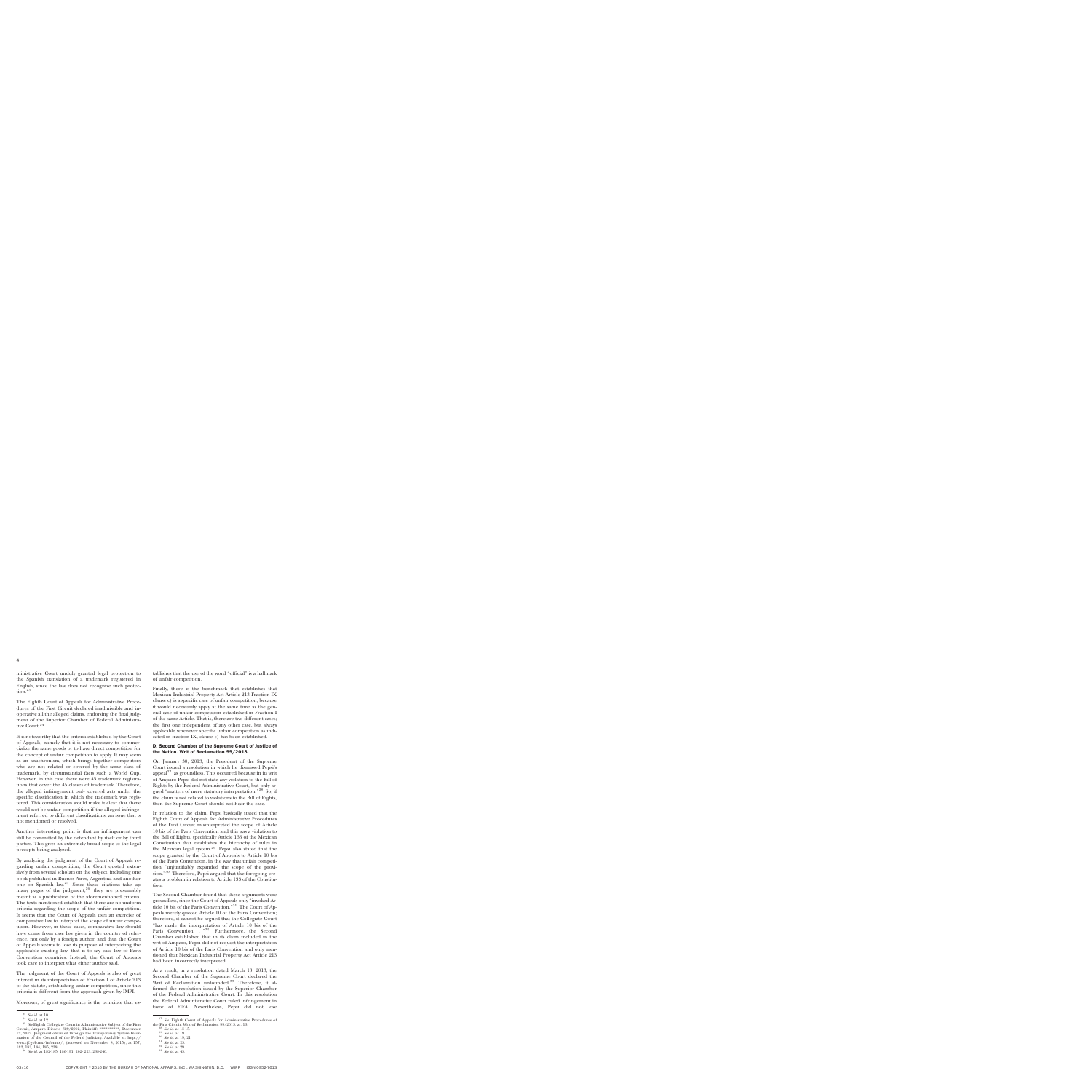ministrative Court unduly granted legal protection to the Spanish translation of a trademark registered in English, since the law does not recognize such protection.<sup>23</sup>

The Eighth Court of Appeals for Administrative Procedures of the First Circuit declared inadmissible and inoperative all the alleged claims, endorsing the final judgment of the Superior Chamber of Federal Administrative Court.<sup>24</sup>

It is noteworthy that the criteria established by the Court of Appeals, namely that it is not necessary to commercialize the same goods or to have direct competition for the concept of unfair competition to apply. It may seem as an anachronism, which brings together competitors who are not related or covered by the same class of trademark, by circumstantial facts such a World Cup. However, in this case there were 45 trademark registrations that cover the 45 classes of trademark. Therefore, the alleged infringement only covered acts under the specific classification in which the trademark was registered. This consideration would make it clear that there would not be unfair competition if the alleged infringement referred to different classifications, an issue that is not mentioned or resolved.

Another interesting point is that an infringement can still be committed by the defendant by itself or by third parties. This gives an extremely broad scope to the legal precepts being analyzed.

By analyzing the judgment of the Court of Appeals regarding unfair competition, the Court quoted extensively from several scholars on the subject, including one book published in Buenos Aires, Argentina and another one on Spanish law.25 Since these citations take up many pages of the judgment,<sup>26</sup> they are presumably meant as a justification of the aforementioned criteria. The texts mentioned establish that there are no uniform criteria regarding the scope of the unfair competition. It seems that the Court of Appeals uses an exercise of comparative law to interpret the scope of unfair competition. However, in these cases, comparative law should have come from case law given in the country of reference, not only by a foreign author, and thus the Court of Appeals seems to lose its purpose of interpreting the applicable existing law, that is to say case law of Paris Convention countries. Instead, the Court of Appeals took care to interpret what either author said.

The judgment of the Court of Appeals is also of great interest in its interpretation of Fraction I of Article 213 of the statute, establishing unfair competition, since this criteria is different from the approach given by IMPI.

Moreover, of great significance is the principle that es-

tablishes that the use of the word "official" is a hallmark of unfair competition.

Finally, there is the benchmark that establishes that Mexican Industrial Property Act Article 213 Fraction IX clause c) is a specific case of unfair competition, because it would necessarily apply at the same time as the general case of unfair competition established in Fraction I of the same Article. That is, there are two different cases; the first one independent of any other case, but always applicable whenever specific unfair competition as indicated in fraction IX, clause c) has been established.

#### D. Second Chamber of the Supreme Court of Justice of the Nation. Writ of Reclamation 99/2013.

On January 30, 2013, the President of the Supreme Court issued a resolution in which he dismissed Pepsi's appeal $^{27}$  as groundless. This occurred because in its writ of Amparo Pepsi did not state any violation to the Bill of Rights by the Federal Administrative Court, but only argued "matters of mere statutory interpretation."<sup>28</sup> So, if the claim is not related to violations to the Bill of Rights, then the Supreme Court should not hear the case.

In relation to the claim, Pepsi basically stated that the Eighth Court of Appeals for Administrative Procedures of the First Circuit misinterpreted the scope of Article 10 bis of the Paris Convention and this was a violation to the Bill of Rights, specifically Article 133 of the Mexican Constitution that establishes the hierarchy of rules in the Mexican legal system.29 Pepsi also stated that the scope granted by the Court of Appeals to Article 10 bis of the Paris Convention, in the way that unfair competition ''unjustifiably expanded the scope of the provision."<sup>30</sup> Therefore, Pepsi argued that the foregoing creates a problem in relation to Article 133 of the Constitution.

The Second Chamber found that these arguments were groundless, since the Court of Appeals only ''invoked Article 10 bis of the Paris Convention."<sup>31</sup> The Court of Appeals merely quoted Article 10 of the Paris Convention; therefore, it cannot be argued that the Collegiate Court "has made the interpretation of Article 10 bis of the Paris Convention. . . .''<sup>32</sup> Furthermore, the Second Chamber established that in its claim included in the writ of Amparo, Pepsi did not request the interpretation of Article 10 bis of the Paris Convention and only mentioned that Mexican Industrial Property Act Article 213 had been incorrectly interpreted.

As a result, in a resolution dated March 13, 2013, the Second Chamber of the Supreme Court declared the Writ of Reclamation unfounded.<sup>33</sup> Therefore, it affirmed the resolution issued by the Superior Chamber of the Federal Administrative Court. In this resolution the Federal Administrative Court ruled infringement in favor of FIFA. Nevertheless, Pepsi did not lose

<sup>23</sup> *See id.* at 10. <sup>24</sup> *See id.* at 12. <sup>25</sup> *See* Eighth Collegiate Court in Administrative Subject of the First Circuit, Amparo Directo 320/2012, Plaintiff: \*\*\*\*\*\*\*\*\*\*, December 12, 2012. Judgment obtained through the Transparency System Information of the Council of the Federal Judiciary. Available at: [http://](http://www.cjf.gob.mx/infomex/) [www.cjf.gob.mx/infomex/,](http://www.cjf.gob.mx/infomex/) (accessed on November 8, 2015), at 157,

<sup>182, 183, 184, 185, 238.</sup> <sup>26</sup> *See id.* at 182-185, 186-191, 202- 223, 238-240.

<sup>27</sup> *See.* Eighth Court of Appeals for Administrative Procedures of the First Circuit, Writ of Reclamation 99/2013, at. 13.<br><sup>28</sup> *See id.* at 13-15.<br><sup>29</sup> *See id.* at 19, 21.<br><sup>31</sup> *See id.* at 23.<br><sup>32</sup> *See id.* at 29.<br><sup>33</sup> *See id.* at 43.